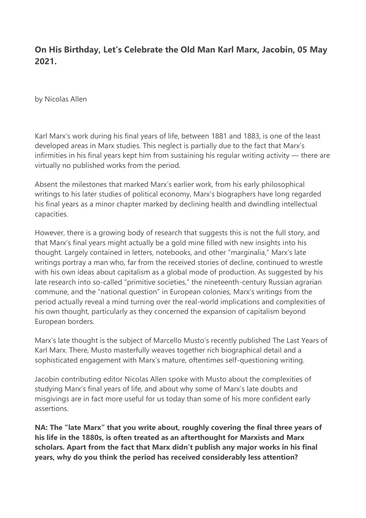# **On His Birthday, Let's Celebrate the Old Man Karl Marx, Jacobin, 05 May 2021.**

by Nicolas Allen

Karl Marx's work during his final years of life, between 1881 and 1883, is one of the least developed areas in Marx studies. This neglect is partially due to the fact that Marx's infirmities in his final years kept him from sustaining his regular writing activity — there are virtually no published works from the period.

Absent the milestones that marked Marx's earlier work, from his early philosophical writings to his later studies of political economy, Marx's biographers have long regarded his final years as a minor chapter marked by declining health and dwindling intellectual capacities.

However, there is a growing body of research that suggests this is not the full story, and that Marx's final years might actually be a gold mine filled with new insights into his thought. Largely contained in letters, notebooks, and other "marginalia," Marx's late writings portray a man who, far from the received stories of decline, continued to wrestle with his own ideas about capitalism as a global mode of production. As suggested by his late research into so-called "primitive societies," the nineteenth-century Russian agrarian commune, and the "national question" in European colonies, Marx's writings from the period actually reveal a mind turning over the real-world implications and complexities of his own thought, particularly as they concerned the expansion of capitalism beyond European borders.

Marx's late thought is the subject of Marcello Musto's recently published The Last Years of Karl Marx. There, Musto masterfully weaves together rich biographical detail and a sophisticated engagement with Marx's mature, oftentimes self-questioning writing.

Jacobin contributing editor Nicolas Allen spoke with Musto about the complexities of studying Marx's final years of life, and about why some of Marx's late doubts and misgivings are in fact more useful for us today than some of his more confident early assertions.

**NA: The "late Marx" that you write about, roughly covering the final three years of his life in the 1880s, is often treated as an afterthought for Marxists and Marx scholars. Apart from the fact that Marx didn't publish any major works in his final years, why do you think the period has received considerably less attention?**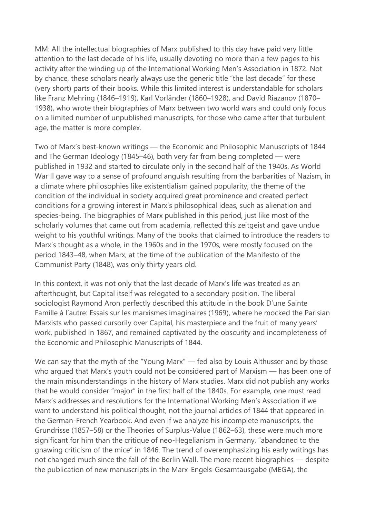MM: All the intellectual biographies of Marx published to this day have paid very little attention to the last decade of his life, usually devoting no more than a few pages to his activity after the winding up of the International Working Men's Association in 1872. Not by chance, these scholars nearly always use the generic title "the last decade" for these (very short) parts of their books. While this limited interest is understandable for scholars like Franz Mehring (1846–1919), Karl Vorländer (1860–1928), and David Riazanov (1870– 1938), who wrote their biographies of Marx between two world wars and could only focus on a limited number of unpublished manuscripts, for those who came after that turbulent age, the matter is more complex.

Two of Marx's best-known writings — the Economic and Philosophic Manuscripts of 1844 and The German Ideology (1845–46), both very far from being completed — were published in 1932 and started to circulate only in the second half of the 1940s. As World War II gave way to a sense of profound anguish resulting from the barbarities of Nazism, in a climate where philosophies like existentialism gained popularity, the theme of the condition of the individual in society acquired great prominence and created perfect conditions for a growing interest in Marx's philosophical ideas, such as alienation and species-being. The biographies of Marx published in this period, just like most of the scholarly volumes that came out from academia, reflected this zeitgeist and gave undue weight to his youthful writings. Many of the books that claimed to introduce the readers to Marx's thought as a whole, in the 1960s and in the 1970s, were mostly focused on the period 1843–48, when Marx, at the time of the publication of the Manifesto of the Communist Party (1848), was only thirty years old.

In this context, it was not only that the last decade of Marx's life was treated as an afterthought, but Capital itself was relegated to a secondary position. The liberal sociologist Raymond Aron perfectly described this attitude in the book D'une Sainte Famille à l'autre: Essais sur les marxismes imaginaires (1969), where he mocked the Parisian Marxists who passed cursorily over Capital, his masterpiece and the fruit of many years' work, published in 1867, and remained captivated by the obscurity and incompleteness of the Economic and Philosophic Manuscripts of 1844.

We can say that the myth of the "Young Marx" — fed also by Louis Althusser and by those who argued that Marx's youth could not be considered part of Marxism — has been one of the main misunderstandings in the history of Marx studies. Marx did not publish any works that he would consider "major" in the first half of the 1840s. For example, one must read Marx's addresses and resolutions for the International Working Men's Association if we want to understand his political thought, not the journal articles of 1844 that appeared in the German-French Yearbook. And even if we analyze his incomplete manuscripts, the Grundrisse (1857–58) or the Theories of Surplus-Value (1862–63), these were much more significant for him than the critique of neo-Hegelianism in Germany, "abandoned to the gnawing criticism of the mice" in 1846. The trend of overemphasizing his early writings has not changed much since the fall of the Berlin Wall. The more recent biographies — despite the publication of new manuscripts in the Marx-Engels-Gesamtausgabe (MEGA), the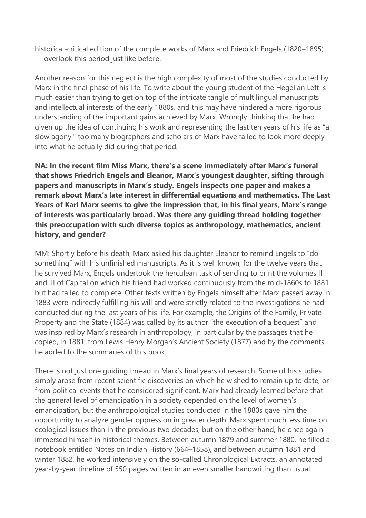historical-critical edition of the complete works of Marx and Friedrich Engels (1820–1895) — overlook this period just like before.

Another reason for this neglect is the high complexity of most of the studies conducted by Marx in the final phase of his life. To write about the young student of the Hegelian Left is much easier than trying to get on top of the intricate tangle of multilingual manuscripts and intellectual interests of the early 1880s, and this may have hindered a more rigorous understanding of the important gains achieved by Marx. Wrongly thinking that he had given up the idea of continuing his work and representing the last ten years of his life as "a slow agony," too many biographers and scholars of Marx have failed to look more deeply into what he actually did during that period.

**NA: In the recent film Miss Marx, there's a scene immediately after Marx's funeral that shows Friedrich Engels and Eleanor, Marx's youngest daughter, sifting through papers and manuscripts in Marx's study. Engels inspects one paper and makes a remark about Marx's late interest in differential equations and mathematics. The Last Years of Karl Marx seems to give the impression that, in his final years, Marx's range of interests was particularly broad. Was there any guiding thread holding together this preoccupation with such diverse topics as anthropology, mathematics, ancient history, and gender?**

MM: Shortly before his death, Marx asked his daughter Eleanor to remind Engels to "do something" with his unfinished manuscripts. As it is well known, for the twelve years that he survived Marx, Engels undertook the herculean task of sending to print the volumes II and III of Capital on which his friend had worked continuously from the mid-1860s to 1881 but had failed to complete. Other texts written by Engels himself after Marx passed away in 1883 were indirectly fulfilling his will and were strictly related to the investigations he had conducted during the last years of his life. For example, the Origins of the Family, Private Property and the State (1884) was called by its author "the execution of a bequest" and was inspired by Marx's research in anthropology, in particular by the passages that he copied, in 1881, from Lewis Henry Morgan's Ancient Society (1877) and by the comments he added to the summaries of this book.

There is not just one guiding thread in Marx's final years of research. Some of his studies simply arose from recent scientific discoveries on which he wished to remain up to date, or from political events that he considered significant. Marx had already learned before that the general level of emancipation in a society depended on the level of women's emancipation, but the anthropological studies conducted in the 1880s gave him the opportunity to analyze gender oppression in greater depth. Marx spent much less time on ecological issues than in the previous two decades, but on the other hand, he once again immersed himself in historical themes. Between autumn 1879 and summer 1880, he filled a notebook entitled Notes on Indian History (664–1858), and between autumn 1881 and winter 1882, he worked intensively on the so-called Chronological Extracts, an annotated year-by-year timeline of 550 pages written in an even smaller handwriting than usual.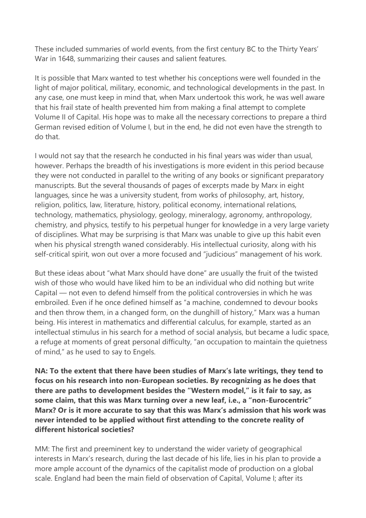These included summaries of world events, from the first century BC to the Thirty Years' War in 1648, summarizing their causes and salient features.

It is possible that Marx wanted to test whether his conceptions were well founded in the light of major political, military, economic, and technological developments in the past. In any case, one must keep in mind that, when Marx undertook this work, he was well aware that his frail state of health prevented him from making a final attempt to complete Volume II of Capital. His hope was to make all the necessary corrections to prepare a third German revised edition of Volume I, but in the end, he did not even have the strength to do that.

I would not say that the research he conducted in his final years was wider than usual, however. Perhaps the breadth of his investigations is more evident in this period because they were not conducted in parallel to the writing of any books or significant preparatory manuscripts. But the several thousands of pages of excerpts made by Marx in eight languages, since he was a university student, from works of philosophy, art, history, religion, politics, law, literature, history, political economy, international relations, technology, mathematics, physiology, geology, mineralogy, agronomy, anthropology, chemistry, and physics, testify to his perpetual hunger for knowledge in a very large variety of disciplines. What may be surprising is that Marx was unable to give up this habit even when his physical strength waned considerably. His intellectual curiosity, along with his self-critical spirit, won out over a more focused and "judicious" management of his work.

But these ideas about "what Marx should have done" are usually the fruit of the twisted wish of those who would have liked him to be an individual who did nothing but write Capital — not even to defend himself from the political controversies in which he was embroiled. Even if he once defined himself as "a machine, condemned to devour books and then throw them, in a changed form, on the dunghill of history," Marx was a human being. His interest in mathematics and differential calculus, for example, started as an intellectual stimulus in his search for a method of social analysis, but became a ludic space, a refuge at moments of great personal difficulty, "an occupation to maintain the quietness of mind," as he used to say to Engels.

**NA: To the extent that there have been studies of Marx's late writings, they tend to focus on his research into non-European societies. By recognizing as he does that there are paths to development besides the "Western model," is it fair to say, as some claim, that this was Marx turning over a new leaf, i.e., a "non-Eurocentric" Marx? Or is it more accurate to say that this was Marx's admission that his work was never intended to be applied without first attending to the concrete reality of different historical societies?**

MM: The first and preeminent key to understand the wider variety of geographical interests in Marx's research, during the last decade of his life, lies in his plan to provide a more ample account of the dynamics of the capitalist mode of production on a global scale. England had been the main field of observation of Capital, Volume I; after its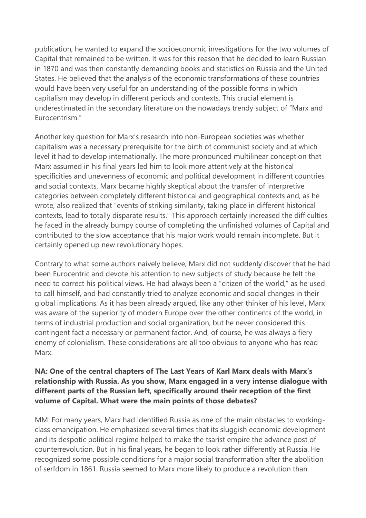publication, he wanted to expand the socioeconomic investigations for the two volumes of Capital that remained to be written. It was for this reason that he decided to learn Russian in 1870 and was then constantly demanding books and statistics on Russia and the United States. He believed that the analysis of the economic transformations of these countries would have been very useful for an understanding of the possible forms in which capitalism may develop in different periods and contexts. This crucial element is underestimated in the secondary literature on the nowadays trendy subject of "Marx and Eurocentrism."

Another key question for Marx's research into non-European societies was whether capitalism was a necessary prerequisite for the birth of communist society and at which level it had to develop internationally. The more pronounced multilinear conception that Marx assumed in his final years led him to look more attentively at the historical specificities and unevenness of economic and political development in different countries and social contexts. Marx became highly skeptical about the transfer of interpretive categories between completely different historical and geographical contexts and, as he wrote, also realized that "events of striking similarity, taking place in different historical contexts, lead to totally disparate results." This approach certainly increased the difficulties he faced in the already bumpy course of completing the unfinished volumes of Capital and contributed to the slow acceptance that his major work would remain incomplete. But it certainly opened up new revolutionary hopes.

Contrary to what some authors naively believe, Marx did not suddenly discover that he had been Eurocentric and devote his attention to new subjects of study because he felt the need to correct his political views. He had always been a "citizen of the world," as he used to call himself, and had constantly tried to analyze economic and social changes in their global implications. As it has been already argued, like any other thinker of his level, Marx was aware of the superiority of modern Europe over the other continents of the world, in terms of industrial production and social organization, but he never considered this contingent fact a necessary or permanent factor. And, of course, he was always a fiery enemy of colonialism. These considerations are all too obvious to anyone who has read Marx.

#### **NA: One of the central chapters of The Last Years of Karl Marx deals with Marx's relationship with Russia. As you show, Marx engaged in a very intense dialogue with different parts of the Russian left, specifically around their reception of the first volume of Capital. What were the main points of those debates?**

MM: For many years, Marx had identified Russia as one of the main obstacles to workingclass emancipation. He emphasized several times that its sluggish economic development and its despotic political regime helped to make the tsarist empire the advance post of counterrevolution. But in his final years, he began to look rather differently at Russia. He recognized some possible conditions for a major social transformation after the abolition of serfdom in 1861. Russia seemed to Marx more likely to produce a revolution than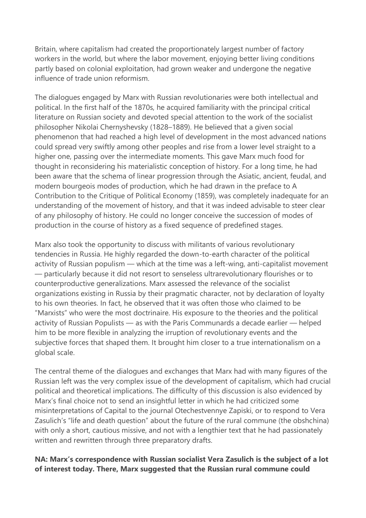Britain, where capitalism had created the proportionately largest number of factory workers in the world, but where the labor movement, enjoying better living conditions partly based on colonial exploitation, had grown weaker and undergone the negative influence of trade union reformism.

The dialogues engaged by Marx with Russian revolutionaries were both intellectual and political. In the first half of the 1870s, he acquired familiarity with the principal critical literature on Russian society and devoted special attention to the work of the socialist philosopher Nikolai Chernyshevsky (1828–1889). He believed that a given social phenomenon that had reached a high level of development in the most advanced nations could spread very swiftly among other peoples and rise from a lower level straight to a higher one, passing over the intermediate moments. This gave Marx much food for thought in reconsidering his materialistic conception of history. For a long time, he had been aware that the schema of linear progression through the Asiatic, ancient, feudal, and modern bourgeois modes of production, which he had drawn in the preface to A Contribution to the Critique of Political Economy (1859), was completely inadequate for an understanding of the movement of history, and that it was indeed advisable to steer clear of any philosophy of history. He could no longer conceive the succession of modes of production in the course of history as a fixed sequence of predefined stages.

Marx also took the opportunity to discuss with militants of various revolutionary tendencies in Russia. He highly regarded the down-to-earth character of the political activity of Russian populism — which at the time was a left-wing, anti-capitalist movement — particularly because it did not resort to senseless ultrarevolutionary flourishes or to counterproductive generalizations. Marx assessed the relevance of the socialist organizations existing in Russia by their pragmatic character, not by declaration of loyalty to his own theories. In fact, he observed that it was often those who claimed to be "Marxists" who were the most doctrinaire. His exposure to the theories and the political activity of Russian Populists — as with the Paris Communards a decade earlier — helped him to be more flexible in analyzing the irruption of revolutionary events and the subjective forces that shaped them. It brought him closer to a true internationalism on a global scale.

The central theme of the dialogues and exchanges that Marx had with many figures of the Russian left was the very complex issue of the development of capitalism, which had crucial political and theoretical implications. The difficulty of this discussion is also evidenced by Marx's final choice not to send an insightful letter in which he had criticized some misinterpretations of Capital to the journal Otechestvennye Zapiski, or to respond to Vera Zasulich's "life and death question" about the future of the rural commune (the obshchina) with only a short, cautious missive, and not with a lengthier text that he had passionately written and rewritten through three preparatory drafts.

### **NA: Marx's correspondence with Russian socialist Vera Zasulich is the subject of a lot of interest today. There, Marx suggested that the Russian rural commune could**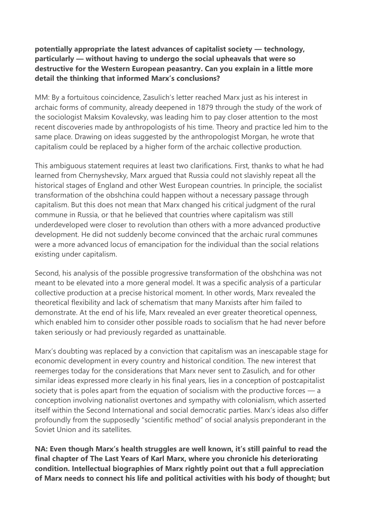### **potentially appropriate the latest advances of capitalist society — technology, particularly — without having to undergo the social upheavals that were so destructive for the Western European peasantry. Can you explain in a little more detail the thinking that informed Marx's conclusions?**

MM: By a fortuitous coincidence, Zasulich's letter reached Marx just as his interest in archaic forms of community, already deepened in 1879 through the study of the work of the sociologist Maksim Kovalevsky, was leading him to pay closer attention to the most recent discoveries made by anthropologists of his time. Theory and practice led him to the same place. Drawing on ideas suggested by the anthropologist Morgan, he wrote that capitalism could be replaced by a higher form of the archaic collective production.

This ambiguous statement requires at least two clarifications. First, thanks to what he had learned from Chernyshevsky, Marx argued that Russia could not slavishly repeat all the historical stages of England and other West European countries. In principle, the socialist transformation of the obshchina could happen without a necessary passage through capitalism. But this does not mean that Marx changed his critical judgment of the rural commune in Russia, or that he believed that countries where capitalism was still underdeveloped were closer to revolution than others with a more advanced productive development. He did not suddenly become convinced that the archaic rural communes were a more advanced locus of emancipation for the individual than the social relations existing under capitalism.

Second, his analysis of the possible progressive transformation of the obshchina was not meant to be elevated into a more general model. It was a specific analysis of a particular collective production at a precise historical moment. In other words, Marx revealed the theoretical flexibility and lack of schematism that many Marxists after him failed to demonstrate. At the end of his life, Marx revealed an ever greater theoretical openness, which enabled him to consider other possible roads to socialism that he had never before taken seriously or had previously regarded as unattainable.

Marx's doubting was replaced by a conviction that capitalism was an inescapable stage for economic development in every country and historical condition. The new interest that reemerges today for the considerations that Marx never sent to Zasulich, and for other similar ideas expressed more clearly in his final years, lies in a conception of postcapitalist society that is poles apart from the equation of socialism with the productive forces — a conception involving nationalist overtones and sympathy with colonialism, which asserted itself within the Second International and social democratic parties. Marx's ideas also differ profoundly from the supposedly "scientific method" of social analysis preponderant in the Soviet Union and its satellites.

**NA: Even though Marx's health struggles are well known, it's still painful to read the final chapter of The Last Years of Karl Marx, where you chronicle his deteriorating condition. Intellectual biographies of Marx rightly point out that a full appreciation of Marx needs to connect his life and political activities with his body of thought; but**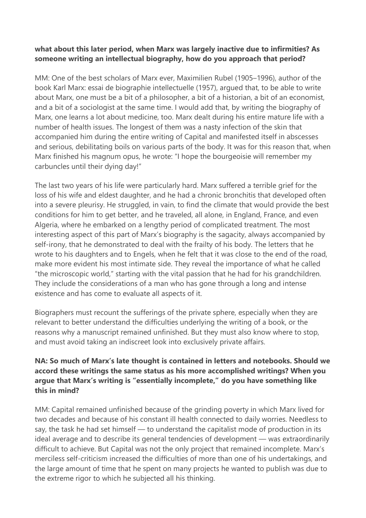### **what about this later period, when Marx was largely inactive due to infirmities? As someone writing an intellectual biography, how do you approach that period?**

MM: One of the best scholars of Marx ever, Maximilien Rubel (1905–1996), author of the book Karl Marx: essai de biographie intellectuelle (1957), argued that, to be able to write about Marx, one must be a bit of a philosopher, a bit of a historian, a bit of an economist, and a bit of a sociologist at the same time. I would add that, by writing the biography of Marx, one learns a lot about medicine, too. Marx dealt during his entire mature life with a number of health issues. The longest of them was a nasty infection of the skin that accompanied him during the entire writing of Capital and manifested itself in abscesses and serious, debilitating boils on various parts of the body. It was for this reason that, when Marx finished his magnum opus, he wrote: "I hope the bourgeoisie will remember my carbuncles until their dying day!"

The last two years of his life were particularly hard. Marx suffered a terrible grief for the loss of his wife and eldest daughter, and he had a chronic bronchitis that developed often into a severe pleurisy. He struggled, in vain, to find the climate that would provide the best conditions for him to get better, and he traveled, all alone, in England, France, and even Algeria, where he embarked on a lengthy period of complicated treatment. The most interesting aspect of this part of Marx's biography is the sagacity, always accompanied by self-irony, that he demonstrated to deal with the frailty of his body. The letters that he wrote to his daughters and to Engels, when he felt that it was close to the end of the road, make more evident his most intimate side. They reveal the importance of what he called "the microscopic world," starting with the vital passion that he had for his grandchildren. They include the considerations of a man who has gone through a long and intense existence and has come to evaluate all aspects of it.

Biographers must recount the sufferings of the private sphere, especially when they are relevant to better understand the difficulties underlying the writing of a book, or the reasons why a manuscript remained unfinished. But they must also know where to stop, and must avoid taking an indiscreet look into exclusively private affairs.

## **NA: So much of Marx's late thought is contained in letters and notebooks. Should we accord these writings the same status as his more accomplished writings? When you argue that Marx's writing is "essentially incomplete," do you have something like this in mind?**

MM: Capital remained unfinished because of the grinding poverty in which Marx lived for two decades and because of his constant ill health connected to daily worries. Needless to say, the task he had set himself — to understand the capitalist mode of production in its ideal average and to describe its general tendencies of development — was extraordinarily difficult to achieve. But Capital was not the only project that remained incomplete. Marx's merciless self-criticism increased the difficulties of more than one of his undertakings, and the large amount of time that he spent on many projects he wanted to publish was due to the extreme rigor to which he subjected all his thinking.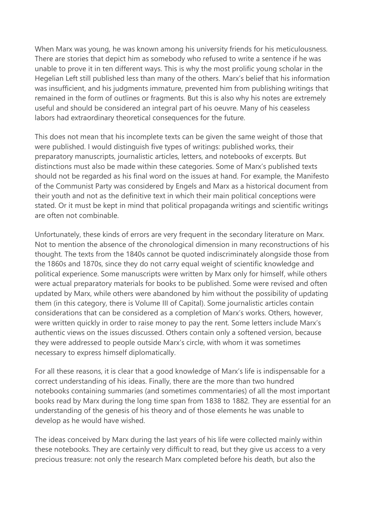When Marx was young, he was known among his university friends for his meticulousness. There are stories that depict him as somebody who refused to write a sentence if he was unable to prove it in ten different ways. This is why the most prolific young scholar in the Hegelian Left still published less than many of the others. Marx's belief that his information was insufficient, and his judgments immature, prevented him from publishing writings that remained in the form of outlines or fragments. But this is also why his notes are extremely useful and should be considered an integral part of his oeuvre. Many of his ceaseless labors had extraordinary theoretical consequences for the future.

This does not mean that his incomplete texts can be given the same weight of those that were published. I would distinguish five types of writings: published works, their preparatory manuscripts, journalistic articles, letters, and notebooks of excerpts. But distinctions must also be made within these categories. Some of Marx's published texts should not be regarded as his final word on the issues at hand. For example, the Manifesto of the Communist Party was considered by Engels and Marx as a historical document from their youth and not as the definitive text in which their main political conceptions were stated. Or it must be kept in mind that political propaganda writings and scientific writings are often not combinable.

Unfortunately, these kinds of errors are very frequent in the secondary literature on Marx. Not to mention the absence of the chronological dimension in many reconstructions of his thought. The texts from the 1840s cannot be quoted indiscriminately alongside those from the 1860s and 1870s, since they do not carry equal weight of scientific knowledge and political experience. Some manuscripts were written by Marx only for himself, while others were actual preparatory materials for books to be published. Some were revised and often updated by Marx, while others were abandoned by him without the possibility of updating them (in this category, there is Volume III of Capital). Some journalistic articles contain considerations that can be considered as a completion of Marx's works. Others, however, were written quickly in order to raise money to pay the rent. Some letters include Marx's authentic views on the issues discussed. Others contain only a softened version, because they were addressed to people outside Marx's circle, with whom it was sometimes necessary to express himself diplomatically.

For all these reasons, it is clear that a good knowledge of Marx's life is indispensable for a correct understanding of his ideas. Finally, there are the more than two hundred notebooks containing summaries (and sometimes commentaries) of all the most important books read by Marx during the long time span from 1838 to 1882. They are essential for an understanding of the genesis of his theory and of those elements he was unable to develop as he would have wished.

The ideas conceived by Marx during the last years of his life were collected mainly within these notebooks. They are certainly very difficult to read, but they give us access to a very precious treasure: not only the research Marx completed before his death, but also the